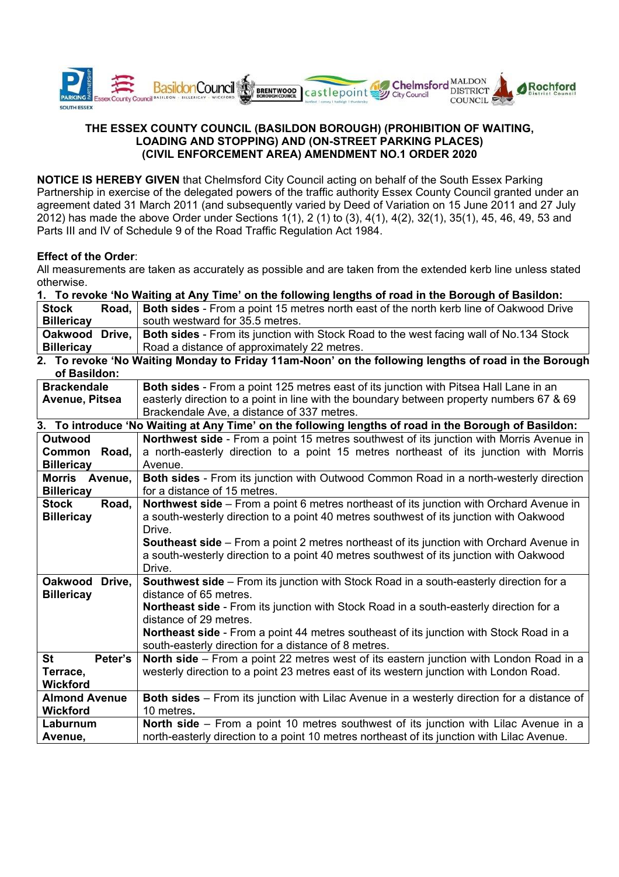

## **THE ESSEX COUNTY COUNCIL (BASILDON BOROUGH) (PROHIBITION OF WAITING, LOADING AND STOPPING) AND (ON-STREET PARKING PLACES) (CIVIL ENFORCEMENT AREA) AMENDMENT NO.1 ORDER 2020**

**NOTICE IS HEREBY GIVEN** that Chelmsford City Council acting on behalf of the South Essex Parking Partnership in exercise of the delegated powers of the traffic authority Essex County Council granted under an agreement dated 31 March 2011 (and subsequently varied by Deed of Variation on 15 June 2011 and 27 July 2012) has made the above Order under Sections 1(1), 2 (1) to (3), 4(1), 4(2), 32(1), 35(1), 45, 46, 49, 53 and Parts III and IV of Schedule 9 of the Road Traffic Regulation Act 1984.

## **Effect of the Order**:

All measurements are taken as accurately as possible and are taken from the extended kerb line unless stated otherwise.

| 1. To revoke 'No Waiting at Any Time' on the following lengths of road in the Borough of Basildon: |  |                                                                                                |  |  |
|----------------------------------------------------------------------------------------------------|--|------------------------------------------------------------------------------------------------|--|--|
| <b>Stock</b>                                                                                       |  | Road,   Both sides - From a point 15 metres north east of the north kerb line of Oakwood Drive |  |  |
| <b>Billericay</b>                                                                                  |  | south westward for 35.5 metres.                                                                |  |  |
| Oakwood Drive,                                                                                     |  | <b>Both sides - From its junction with Stock Road to the west facing wall of No.134 Stock</b>  |  |  |
| <b>Billericay</b>                                                                                  |  | Road a distance of approximately 22 metres.                                                    |  |  |

**2. To revoke 'No Waiting Monday to Friday 11am-Noon' on the following lengths of road in the Borough of Basildon:** 

| Both sides - From a point 125 metres east of its junction with Pitsea Hall Lane in an                     |  |  |
|-----------------------------------------------------------------------------------------------------------|--|--|
| easterly direction to a point in line with the boundary between property numbers 67 & 69                  |  |  |
| Brackendale Ave, a distance of 337 metres.                                                                |  |  |
| 3. To introduce 'No Waiting at Any Time' on the following lengths of road in the Borough of Basildon:     |  |  |
| Northwest side - From a point 15 metres southwest of its junction with Morris Avenue in<br><b>Outwood</b> |  |  |
| a north-easterly direction to a point 15 metres northeast of its junction with Morris                     |  |  |
| Avenue.                                                                                                   |  |  |
| <b>Both sides</b> - From its junction with Outwood Common Road in a north-westerly direction              |  |  |
| for a distance of 15 metres.                                                                              |  |  |
| Northwest side - From a point 6 metres northeast of its junction with Orchard Avenue in                   |  |  |
| a south-westerly direction to a point 40 metres southwest of its junction with Oakwood                    |  |  |
| Drive.                                                                                                    |  |  |
| <b>Southeast side</b> – From a point 2 metres northeast of its junction with Orchard Avenue in            |  |  |
| a south-westerly direction to a point 40 metres southwest of its junction with Oakwood                    |  |  |
| Drive.                                                                                                    |  |  |
| Southwest side - From its junction with Stock Road in a south-easterly direction for a                    |  |  |
| distance of 65 metres.                                                                                    |  |  |
| Northeast side - From its junction with Stock Road in a south-easterly direction for a                    |  |  |
| distance of 29 metres.                                                                                    |  |  |
| Northeast side - From a point 44 metres southeast of its junction with Stock Road in a                    |  |  |
| south-easterly direction for a distance of 8 metres.                                                      |  |  |
| North side – From a point 22 metres west of its eastern junction with London Road in a                    |  |  |
| westerly direction to a point 23 metres east of its western junction with London Road.                    |  |  |
|                                                                                                           |  |  |
| Both sides - From its junction with Lilac Avenue in a westerly direction for a distance of                |  |  |
| 10 metres.                                                                                                |  |  |
| North side - From a point 10 metres southwest of its junction with Lilac Avenue in a                      |  |  |
| north-easterly direction to a point 10 metres northeast of its junction with Lilac Avenue.                |  |  |
|                                                                                                           |  |  |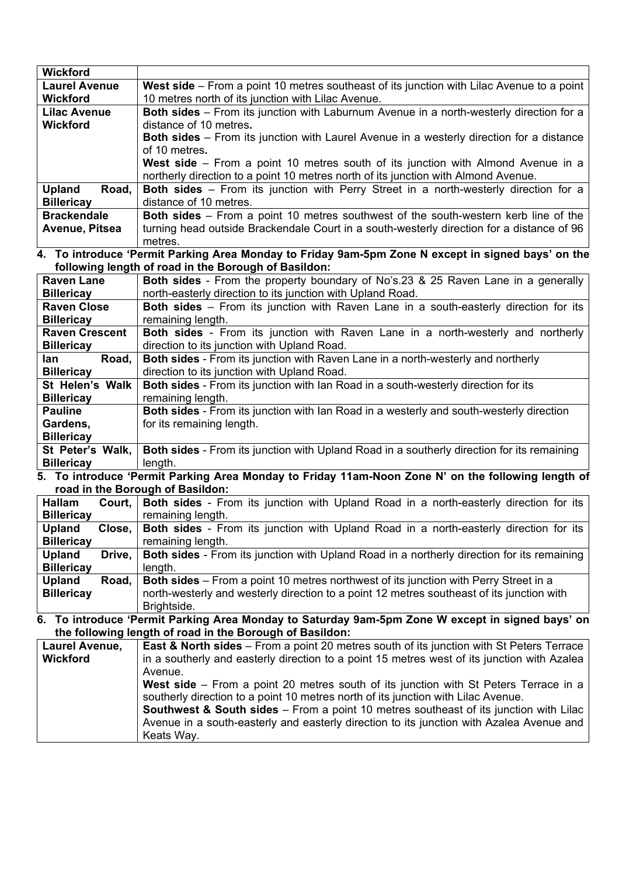| <b>Wickford</b>         |                                                                                                     |
|-------------------------|-----------------------------------------------------------------------------------------------------|
| <b>Laurel Avenue</b>    | West side - From a point 10 metres southeast of its junction with Lilac Avenue to a point           |
| <b>Wickford</b>         | 10 metres north of its junction with Lilac Avenue.                                                  |
| <b>Lilac Avenue</b>     | Both sides - From its junction with Laburnum Avenue in a north-westerly direction for a             |
| <b>Wickford</b>         | distance of 10 metres.                                                                              |
|                         | <b>Both sides</b> – From its junction with Laurel Avenue in a westerly direction for a distance     |
|                         | of 10 metres.                                                                                       |
|                         | West side – From a point 10 metres south of its junction with Almond Avenue in a                    |
|                         | northerly direction to a point 10 metres north of its junction with Almond Avenue.                  |
| <b>Upland</b><br>Road,  | <b>Both sides</b> – From its junction with Perry Street in a north-westerly direction for a         |
| <b>Billericay</b>       | distance of 10 metres.                                                                              |
| <b>Brackendale</b>      | Both sides - From a point 10 metres southwest of the south-western kerb line of the                 |
| Avenue, Pitsea          | turning head outside Brackendale Court in a south-westerly direction for a distance of 96           |
|                         | metres.                                                                                             |
|                         | 4. To introduce 'Permit Parking Area Monday to Friday 9am-5pm Zone N except in signed bays' on the  |
|                         | following length of road in the Borough of Basildon:                                                |
| <b>Raven Lane</b>       | Both sides - From the property boundary of No's.23 & 25 Raven Lane in a generally                   |
| <b>Billericay</b>       | north-easterly direction to its junction with Upland Road.                                          |
| <b>Raven Close</b>      | Both sides - From its junction with Raven Lane in a south-easterly direction for its                |
| <b>Billericay</b>       | remaining length.                                                                                   |
| <b>Raven Crescent</b>   | Both sides - From its junction with Raven Lane in a north-westerly and northerly                    |
| <b>Billericay</b>       | direction to its junction with Upland Road.                                                         |
| Road,<br>lan            | <b>Both sides</b> - From its junction with Raven Lane in a north-westerly and northerly             |
| <b>Billericay</b>       | direction to its junction with Upland Road.                                                         |
| St Helen's Walk         | Both sides - From its junction with Ian Road in a south-westerly direction for its                  |
| <b>Billericay</b>       | remaining length.                                                                                   |
| <b>Pauline</b>          | Both sides - From its junction with Ian Road in a westerly and south-westerly direction             |
| Gardens,                | for its remaining length.                                                                           |
| <b>Billericay</b>       |                                                                                                     |
| St Peter's Walk,        | Both sides - From its junction with Upland Road in a southerly direction for its remaining          |
| <b>Billericay</b>       | length.                                                                                             |
|                         | 5. To introduce 'Permit Parking Area Monday to Friday 11am-Noon Zone N' on the following length of  |
|                         | road in the Borough of Basildon:                                                                    |
| <b>Hallam</b>           | Court,   Both sides - From its junction with Upland Road in a north-easterly direction for its      |
| <b>Billericay</b>       | remaining length.                                                                                   |
| Upland<br>Close,        | Both sides - From its junction with Upland Road in a north-easterly direction for its               |
| <b>Billericay</b>       | remaining length.                                                                                   |
| <b>Upland</b><br>Drive, | <b>Both sides</b> - From its junction with Upland Road in a northerly direction for its remaining   |
| <b>Billericay</b>       | length.                                                                                             |
| Road,<br>Upland         | Both sides - From a point 10 metres northwest of its junction with Perry Street in a                |
| <b>Billericay</b>       | north-westerly and westerly direction to a point 12 metres southeast of its junction with           |
|                         | Brightside.                                                                                         |
|                         | 6. To introduce 'Permit Parking Area Monday to Saturday 9am-5pm Zone W except in signed bays' on    |
|                         | the following length of road in the Borough of Basildon:                                            |
| Laurel Avenue,          | <b>East &amp; North sides</b> - From a point 20 metres south of its junction with St Peters Terrace |
| <b>Wickford</b>         | in a southerly and easterly direction to a point 15 metres west of its junction with Azalea         |
|                         | Avenue.                                                                                             |
|                         | West side – From a point 20 metres south of its junction with St Peters Terrace in a                |
|                         | southerly direction to a point 10 metres north of its junction with Lilac Avenue.                   |
|                         | <b>Southwest &amp; South sides</b> – From a point 10 metres southeast of its junction with Lilac    |
|                         | Avenue in a south-easterly and easterly direction to its junction with Azalea Avenue and            |
|                         | Keats Way.                                                                                          |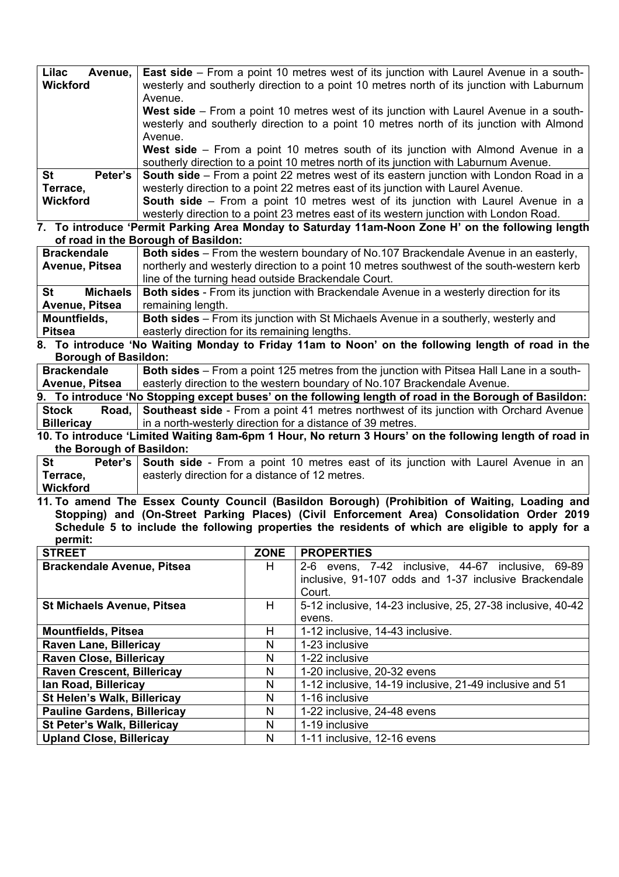| Lilac<br>Avenue.     | <b>East side</b> – From a point 10 metres west of its junction with Laurel Avenue in a south- |
|----------------------|-----------------------------------------------------------------------------------------------|
| <b>Wickford</b>      | westerly and southerly direction to a point 10 metres north of its junction with Laburnum     |
|                      | Avenue.                                                                                       |
|                      | <b>West side</b> – From a point 10 metres west of its junction with Laurel Avenue in a south- |
|                      | westerly and southerly direction to a point 10 metres north of its junction with Almond       |
|                      | Avenue.                                                                                       |
|                      | <b>West side</b> – From a point 10 metres south of its junction with Almond Avenue in a       |
|                      | southerly direction to a point 10 metres north of its junction with Laburnum Avenue.          |
| <b>St</b><br>Peter's | <b>South side</b> – From a point 22 metres west of its eastern junction with London Road in a |
| Terrace,             | westerly direction to a point 22 metres east of its junction with Laurel Avenue.              |
| <b>Wickford</b>      | <b>South side</b> – From a point 10 metres west of its junction with Laurel Avenue in a       |
|                      | westerly direction to a point 23 metres east of its western junction with London Road.        |

**7. To introduce 'Permit Parking Area Monday to Saturday 11am-Noon Zone H' on the following length of road in the Borough of Basildon:** 

| <b>Brackendale</b>                                                                                         | Both sides – From the western boundary of No.107 Brackendale Avenue in an easterly,           |  |  |  |
|------------------------------------------------------------------------------------------------------------|-----------------------------------------------------------------------------------------------|--|--|--|
| Avenue, Pitsea                                                                                             | northerly and westerly direction to a point 10 metres southwest of the south-western kerb     |  |  |  |
|                                                                                                            | line of the turning head outside Brackendale Court.                                           |  |  |  |
| <b>St</b><br>Michaels I                                                                                    | <b>Both sides - From its junction with Brackendale Avenue in a westerly direction for its</b> |  |  |  |
| remaining length.<br>Avenue, Pitsea                                                                        |                                                                                               |  |  |  |
| Mountfields,<br><b>Both sides</b> – From its junction with St Michaels Avenue in a southerly, westerly and |                                                                                               |  |  |  |
| <b>Pitsea</b>                                                                                              | easterly direction for its remaining lengths.                                                 |  |  |  |
| $\cdots$                                                                                                   | .<br>.<br>.<br>.                                                                              |  |  |  |

**8. To introduce 'No Waiting Monday to Friday 11am to Noon' on the following length of road in the Borough of Basildon:** 

| <b>Brackendale</b>                                                                                     | <b>Both sides</b> – From a point 125 metres from the junction with Pitsea Hall Lane in a south-    |  |  |
|--------------------------------------------------------------------------------------------------------|----------------------------------------------------------------------------------------------------|--|--|
| Avenue, Pitsea                                                                                         | easterly direction to the western boundary of No.107 Brackendale Avenue.                           |  |  |
| 9. To introduce 'No Stopping except buses' on the following length of road in the Borough of Basildon: |                                                                                                    |  |  |
| <b>Stock</b>                                                                                           | <b>Road, Southeast side</b> - From a point 41 metres northwest of its junction with Orchard Avenue |  |  |
| <b>Billericay</b><br>in a north-westerly direction for a distance of 39 metres.                        |                                                                                                    |  |  |
| AO Te introduced il incited Weither Oam Comed Harry Newstrom O Harry's de fallentian length of read in |                                                                                                    |  |  |

**10. To introduce 'Limited Waiting 8am-6pm 1 Hour, No return 3 Hours' on the following length of road in the Borough of Basildon:** 

| ∣ St       | <b>Peter's South side</b> - From a point 10 metres east of its junction with Laurel Avenue in an |  |  |  |
|------------|--------------------------------------------------------------------------------------------------|--|--|--|
| Terrace,   | easterly direction for a distance of 12 metres.                                                  |  |  |  |
| l Wickford |                                                                                                  |  |  |  |

**11. To amend The Essex County Council (Basildon Borough) (Prohibition of Waiting, Loading and Stopping) and (On-Street Parking Places) (Civil Enforcement Area) Consolidation Order 2019 Schedule 5 to include the following properties the residents of which are eligible to apply for a permit:** 

| <b>STREET</b>                      | <b>ZONE</b> | <b>PROPERTIES</b>                                           |
|------------------------------------|-------------|-------------------------------------------------------------|
| <b>Brackendale Avenue, Pitsea</b>  | H.          | 2-6 evens, 7-42 inclusive, 44-67 inclusive, 69-89           |
|                                    |             | inclusive, 91-107 odds and 1-37 inclusive Brackendale       |
|                                    |             | Court.                                                      |
| <b>St Michaels Avenue, Pitsea</b>  | н           | 5-12 inclusive, 14-23 inclusive, 25, 27-38 inclusive, 40-42 |
|                                    |             | evens.                                                      |
| <b>Mountfields, Pitsea</b>         | н           | 1-12 inclusive, 14-43 inclusive.                            |
| <b>Raven Lane, Billericay</b>      | N           | 1-23 inclusive                                              |
| <b>Raven Close, Billericay</b>     | N           | 1-22 inclusive                                              |
| <b>Raven Crescent, Billericay</b>  | N           | 1-20 inclusive, 20-32 evens                                 |
| lan Road, Billericay               | N           | 1-12 inclusive, 14-19 inclusive, 21-49 inclusive and 51     |
| <b>St Helen's Walk, Billericay</b> | N           | 1-16 inclusive                                              |
| <b>Pauline Gardens, Billericay</b> | N           | 1-22 inclusive, 24-48 evens                                 |
| <b>St Peter's Walk, Billericay</b> | N           | 1-19 inclusive                                              |
| <b>Upland Close, Billericay</b>    | N           | 1-11 inclusive, 12-16 evens                                 |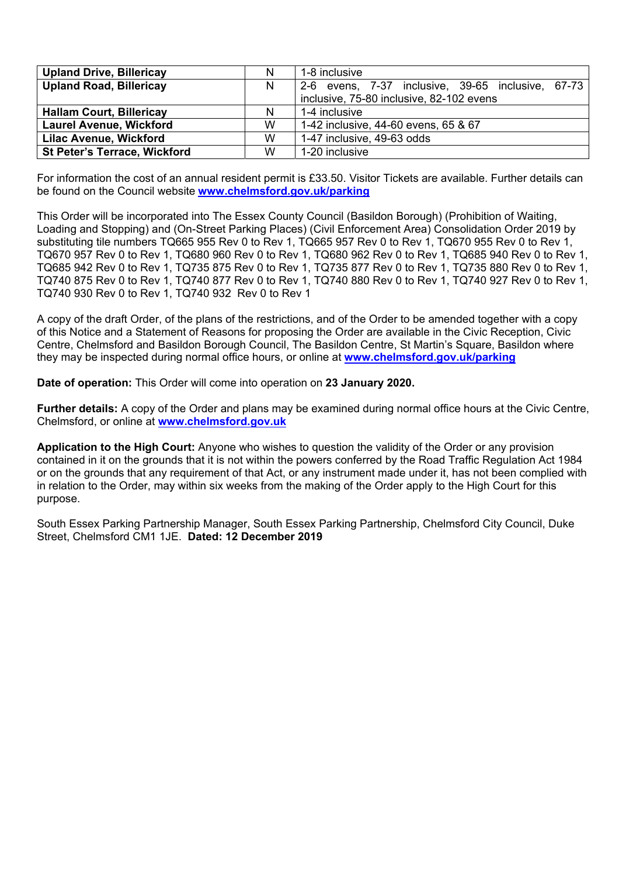| <b>Upland Drive, Billericay</b>     | N | 1-8 inclusive                                     |
|-------------------------------------|---|---------------------------------------------------|
| <b>Upland Road, Billericay</b>      | N | 2-6 evens, 7-37 inclusive, 39-65 inclusive, 67-73 |
|                                     |   | inclusive, 75-80 inclusive, 82-102 evens          |
| <b>Hallam Court, Billericay</b>     | N | 1-4 inclusive                                     |
| <b>Laurel Avenue, Wickford</b>      | W | 1-42 inclusive, 44-60 evens, 65 & 67              |
| <b>Lilac Avenue, Wickford</b>       | W | 1-47 inclusive, 49-63 odds                        |
| <b>St Peter's Terrace, Wickford</b> | W | 1-20 inclusive                                    |

For information the cost of an annual resident permit is £33.50. Visitor Tickets are available. Further details can be found on the Council website **www.chelmsford.gov.uk/parking**

This Order will be incorporated into The Essex County Council (Basildon Borough) (Prohibition of Waiting, Loading and Stopping) and (On-Street Parking Places) (Civil Enforcement Area) Consolidation Order 2019 by substituting tile numbers TQ665 955 Rev 0 to Rev 1, TQ665 957 Rev 0 to Rev 1, TQ670 955 Rev 0 to Rev 1, TQ670 957 Rev 0 to Rev 1, TQ680 960 Rev 0 to Rev 1, TQ680 962 Rev 0 to Rev 1, TQ685 940 Rev 0 to Rev 1, TQ685 942 Rev 0 to Rev 1, TQ735 875 Rev 0 to Rev 1, TQ735 877 Rev 0 to Rev 1, TQ735 880 Rev 0 to Rev 1, TQ740 875 Rev 0 to Rev 1, TQ740 877 Rev 0 to Rev 1, TQ740 880 Rev 0 to Rev 1, TQ740 927 Rev 0 to Rev 1, TQ740 930 Rev 0 to Rev 1, TQ740 932 Rev 0 to Rev 1

A copy of the draft Order, of the plans of the restrictions, and of the Order to be amended together with a copy of this Notice and a Statement of Reasons for proposing the Order are available in the Civic Reception, Civic Centre, Chelmsford and Basildon Borough Council, The Basildon Centre, St Martin's Square, Basildon where they may be inspected during normal office hours, or online at **www.chelmsford.gov.uk/parking**

**Date of operation:** This Order will come into operation on **23 January 2020.** 

**Further details:** A copy of the Order and plans may be examined during normal office hours at the Civic Centre, Chelmsford, or online at **www.chelmsford.gov.uk**

**Application to the High Court:** Anyone who wishes to question the validity of the Order or any provision contained in it on the grounds that it is not within the powers conferred by the Road Traffic Regulation Act 1984 or on the grounds that any requirement of that Act, or any instrument made under it, has not been complied with in relation to the Order, may within six weeks from the making of the Order apply to the High Court for this purpose.

South Essex Parking Partnership Manager, South Essex Parking Partnership, Chelmsford City Council, Duke Street, Chelmsford CM1 1JE. **Dated: 12 December 2019**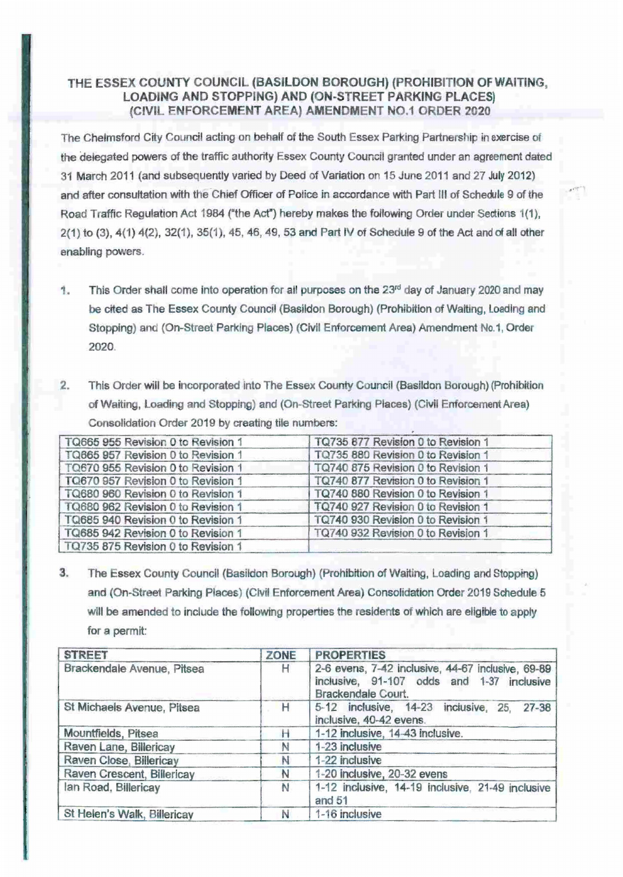## THE ESSEX COUNTY COUNCIL (BASILDON BOROUGH) (PROHIBITION OF WAITING, LOADING AND STOPPING) AND (ON-STREET PARKING PLACES) (CIVIL ENFORCEMENT AREA) AMENDMENT N0.1 ORDER 2020

The Chelmsford City Council acting on behalf of the South Essex Parking Partnership in exercise of the delegated powers of the traffic authority Essex County Council granted under an agreement dated 31 March 2011 (and subsequently varied by Deed of Variation on 15 June 2011 and 27 July 2012) and after consultation with the Chief Officer of Police in accordance with Part III of Schedule 9 of the Road Traffic Regulation Act 1984 ("the Act") hereby makes the following Order under Sections 1(1),  $2(1)$  to  $(3)$ ,  $4(1)$   $4(2)$ ,  $32(1)$ ,  $35(1)$ ,  $45$ ,  $46$ ,  $49$ ,  $53$  and Part IV of Schedule 9 of the Act and of all other enabling powers.

 $r$ 

- 1. This Order shall come into operation for all purposes on the 23rd day of January 2020 and may be cited as The Essex County Council (Basildon Borough) (Prohibition of Waiting, Loading and Stopping) and (On-Street Parking Places) (Civil Enforcement Area) Amendment No.1, Order 2020.
- 2. This Order will be incorporated into The Essex County Council (Basildon Borough) {Prohibition of Waiting, Loading and Stopping) and (On-street Parking Places) (Civil Enforcement Area) Consolidation Order 2019 by creating tile numbers:

| TQ665 955 Revision 0 to Revision 1 | TQ735 877 Revision 0 to Revision 1 |
|------------------------------------|------------------------------------|
| TQ665 957 Revision 0 to Revision 1 | TQ735 880 Revision 0 to Revision 1 |
| TQ670 955 Revision 0 to Revision 1 | TQ740 875 Revision 0 to Revision 1 |
| TQ670 957 Revision 0 to Revision 1 | TQ740 877 Revision 0 to Revision 1 |
| TQ680 960 Revision 0 to Revision 1 | TQ740 880 Revision 0 to Revision 1 |
| TQ680 962 Revision 0 to Revision 1 | TQ740 927 Revision 0 to Revision 1 |
| TQ685 940 Revision 0 to Revision 1 | TQ740 930 Revision 0 to Revision 1 |
| TQ685 942 Revision 0 to Revision 1 | TQ740 932 Revision 0 to Revision 1 |
| TQ735 875 Revision 0 to Revision 1 |                                    |

3. The Essex County Council {Basildon Borough) {Prohibition of Waiting, Loading and Stopping) and (On-Street Parking Places) (Civil Enforcement Area) Consolidation Order 2019 Schedule 5 will be amended to include the following properties the residents of which are eligible to apply for a permit:

| <b>STREET</b>               | <b>ZONE</b> | <b>PROPERTIES</b>                                                                                                    |
|-----------------------------|-------------|----------------------------------------------------------------------------------------------------------------------|
| Brackendale Avenue, Pitsea  | H           | 2-6 evens, 7-42 inclusive, 44-67 inclusive, 69-89<br>inclusive, 91-107 odds and 1-37 inclusive<br>Brackendale Court. |
| St Michaels Avenue, Pitsea  | H           | 5-12 inclusive, 14-23 inclusive, 25<br>$27 - 38$<br>inclusive, 40-42 evens.                                          |
| Mountfields, Pitsea         | н           | 1-12 inclusive, 14-43 inclusive.                                                                                     |
| Raven Lane, Billericay      | N           | 1-23 inclusive                                                                                                       |
| Raven Close, Billericav     | N           | 1-22 inclusive                                                                                                       |
| Raven Crescent, Billericay  | N           | 1-20 inclusive, 20-32 evens                                                                                          |
| lan Road, Billericay        | N           | 1-12 inclusive, 14-19 inclusive, 21-49 inclusive<br>and $51$                                                         |
| St Helen's Walk, Billericav | N           | 1-16 inclusive                                                                                                       |